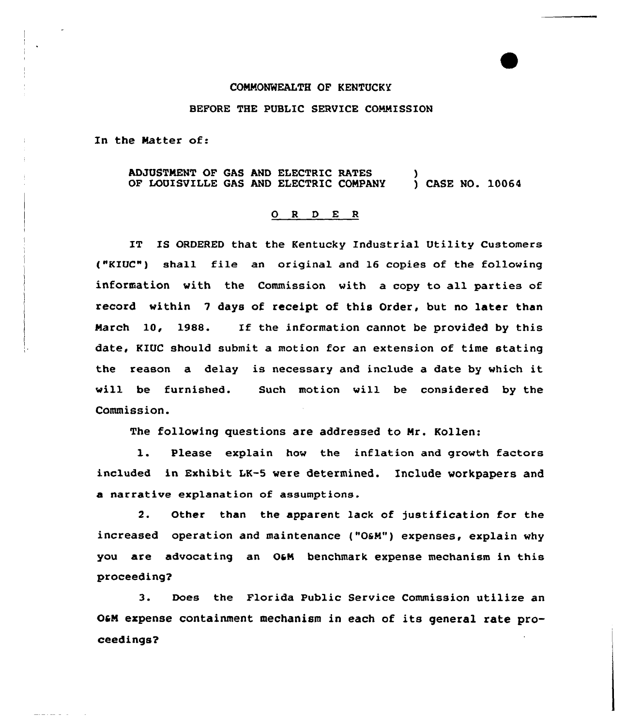## CONNONWEALTH OF KENTUCKY

## BEFORE THE PUBLIC SERVICE COMNISSION

In the Natter of:

ADJUSTNENT OF GAS AND ELECTRIC RATES OF LOUISVILLE GAS AND ELECTRIC CONPANY ) ) CASE NO. 10064

## 0 <sup>R</sup> <sup>D</sup> E <sup>R</sup>

IT IS ORDERED that the Kentucky Industrial Utility Customers ("KIUC") shall file an original and 16 copies of the following information with the Commission vith a copy to all parties of record within <sup>7</sup> days of receipt of this Order, but no later than Narch 10, 1988. If the information cannot be provided by this date, KIUC should submit a motion for an extension of time stating the reason a delay is necessary and include <sup>a</sup> date by vhich it will be furnished. Such motion vill be considered by the Commission.

The following questions are addressed to Nr. Kollen:

1. Please explain hov the inflation and growth factors included in Exhibit LK-S were determined. Include workpapers and a narrative explanation of assumptions.

2. Other than the apparent lack of justification for the increased operation and maintenance ("OaN") expenses, explain why you are advocating an O&M benchmark expense mechanism in this proceeding?

3. Does the Florida Public Service Commission utilize an OaN expense containment mechanism in each of its general rate proceedings?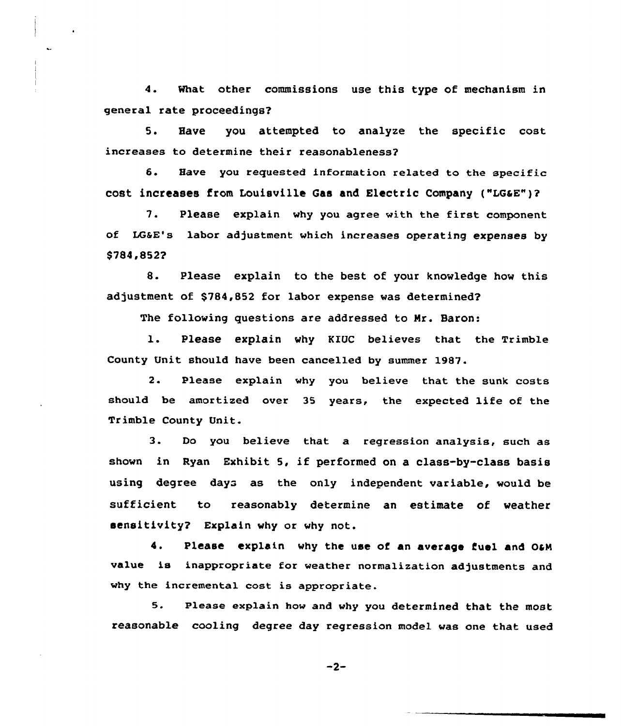4. What other commissions use this type of mechanism in general rate proceedings?

5. Have you attempted to analyze the specific cost increases to determine their reasonableness?

6. Have you requested information related to the specific cost increases from Louisville Gas and Electric Company ("LGaE")?

7. Please explain why you agree with the first component of LGsE's labor adjustment which increases operating expenses by \$784,852?

8. Please explain to the best of your knowledge how this adjustment of \$784,852 for labor expense was determined?

The following questions are addressed to Nr. Baron:

l. Please explain why K1UC believes that the Trimble County Unit should have been cancelled by summer 1987.

2. Please explain why you believe that the sunk costs should be amortized over <sup>35</sup> years, the expected life of the Trimble County Unit.

3. Do you believe that a regression analysis, such as shown in Ryan Exhibit 5, if performed on a class-by-class basis using degree days as the only independent variable, would be sufficient to reasonably determine an estimate of weather sensitivity? Explain why or why not.

4. Please explain why the use of an average fuel and OGM va1ue is inappropriate for weather normalization adjustments and why the incremental cost is appropriate.

5. Please explain how and why you determined that the most reasonable cooling degree day regression model was one that used

 $-2-$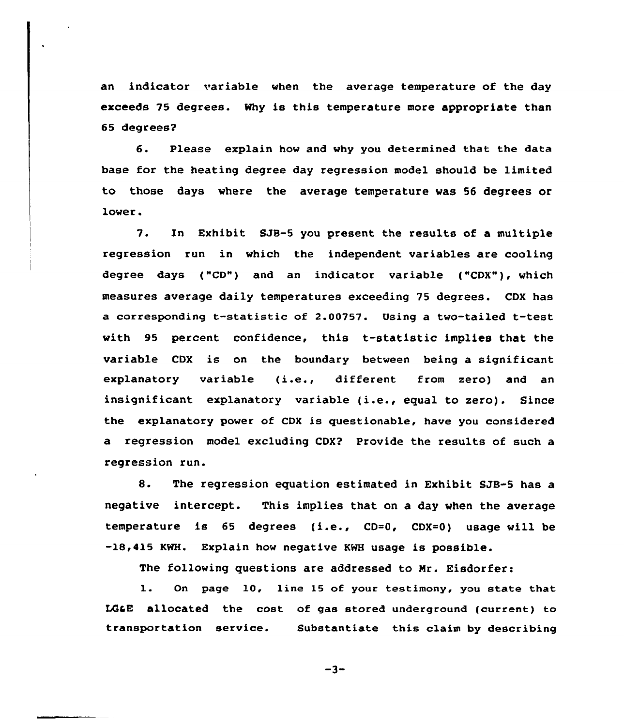an indicator variable when the average temperature of the day exceeds 75 degrees. Why is this temperature more appropriate than 65 degrees?

6. Please explain how and why you determined that the data base for the heating degree day regression model should be limited to those days where the average temperature was 56 degrees or lower.

7. ln Exhibit SJB-5 you present the results of a multiple regression run in which the independent variables are cooling degree days ("CD") and an indicator variable ("CDX"), which measures average daily temperatures exceeding 75 degrees. CDX has a corresponding t-statistic of 2.00757. Using <sup>a</sup> two-tailed t-test with 95 percent confidence, this t-statistic implies that the variable CDX is on the boundary between being a significant explanatory variable (i.e., different from zero) and an insignificant explanatory variable (i.e., equal to zero). Since the explanatory power of CDX is questionable, have you considered a regression model excluding CDX? Provide the results of such a regression run.

8. The regression equation estimated in Exhibit SJB-5 has a negative intercept. This implies that on a day when the average temperature is <sup>65</sup> degrees (i.e., CD=0, CDX=O) usage will be -18,415 KWH. Explain how negative KWH usage is possible.

The following questions are addressed to Nr. Eisdorfer:

1. On page 10, line <sup>15</sup> of your testimony, you state that LGGE allocated the cost of gas stored underground (current) to transportation service. Substantiate this claim by describing

 $-3-$